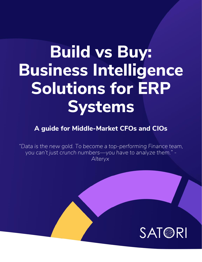# **Build vs Buy: Business Intelligence Solutions for ERP Systems**

**A guide for Middle-Market CFOs and CIOs**

*"Data is the new gold. To become a top-performing Finance team, you can't just crunch numbers—you have to analyze them." - Alteryx*

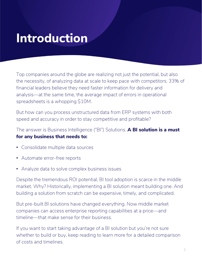### **Introduction**

Top companies around the globe are realizing not just the potential, but also the necessity, of analyzing data at scale to keep pace with competitors. 33% of financial leaders believe they need faster information for delivery and analysis—at the same time, the average impact of errors in operational spreadsheets is a whopping \$10M.

But how can you process unstructured data from ERP systems with both speed and accuracy in order to stay competitive and profitable?

The answer is Business Intelligence ("BI") Solutions. **A BI solution is a must for any business that needs to:** 

- Consolidate multiple data sources
- Automate error-free reports
- Analyze data to solve complex business issues

Despite the tremendous ROI potential, BI tool adoption is scarce in the middle market. Why? Historically, implementing a BI solution meant building one. And building a solution from scratch can be expensive, timely, and complicated.

But pre-built BI solutions have changed everything. Now middle market companies can access enterprise reporting capabilities at a price—and timeline—that make sense for their business.

If you want to start taking advantage of a BI solution but you're not sure whether to build or buy, keep reading to learn more for a detailed comparison of costs and timelines.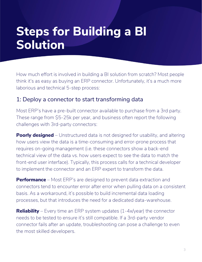How much effort is involved in building a BI solution from scratch? Most people think it's as easy as buying an ERP connector. Unfortunately, it's a much more laborious and technical 5-step process:

#### 1: Deploy a connector to start transforming data

Most ERP's have a pre-built connector available to purchase from a 3rd party. These range from \$5-25k per year, and business often report the following challenges with 3rd-party connectors:

**Poorly designed** – Unstructured data is not designed for usability, and altering how users view the data is a time-consuming and error-prone process that requires on-going management (i.e. these connectors show a back-end technical view of the data vs. how users expect to see the data to match the front-end user interface). Typically, this process calls for a technical developer to implement the connector and an ERP expert to transform the data.

**Performance** – Most ERP's are designed to prevent data extraction and connectors tend to encounter error after error when pulling data on a consistent basis. As a workaround, it's possible to build incremental data loading processes, but that introduces the need for a dedicated data-warehouse.

**Reliability** – Every time an ERP system updates (1-4x/year) the connector needs to be tested to ensure it's still compatible. If a 3rd-party vendor connector fails after an update, troubleshooting can pose a challenge to even the most skilled developers.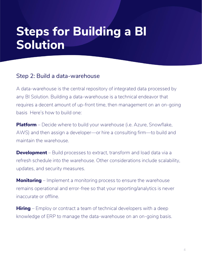#### Step 2: Build a data-warehouse

A data-warehouse is the central repository of integrated data processed by any BI Solution. Building a data-warehouse is a technical endeavor that requires a decent amount of up-front time, then management on an on-going basis Here's how to build one:

**Platform** – Decide where to build your warehouse (i.e. Azure, Snowflake, AWS) and then assign a developer—or hire a consulting firm—to build and maintain the warehouse.

**Development** – Build processes to extract, transform and load data via a refresh schedule into the warehouse. Other considerations include scalability, updates, and security measures.

**Monitoring** – Implement a monitoring process to ensure the warehouse remains operational and error-free so that your reporting/analytics is never inaccurate or offline.

**Hiring** – Employ or contract a team of technical developers with a deep knowledge of ERP to manage the data-warehouse on an on-going basis.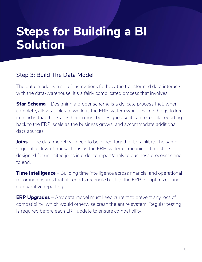#### Step 3: Build The Data Model

The data-model is a set of instructions for how the transformed data interacts with the data-warehouse. It's a fairly complicated process that involves:

**Star Schema** – Designing a proper schema is a delicate process that, when complete, allows tables to work as the ERP system would. Some things to keep in mind is that the Star Schema must be designed so it can reconcile reporting back to the ERP, scale as the business grows, and accommodate additional data sources.

**Joins** – The data model will need to be joined together to facilitate the same sequential flow of transactions as the ERP system—meaning, it must be designed for unlimited joins in order to report/analyze business processes end to end.

**Time Intelligence** – Building time intelligence across financial and operational reporting ensures that all reports reconcile back to the ERP for optimized and comparative reporting.

**ERP Upgrades** – Any data model must keep current to prevent any loss of compatibility, which would otherwise crash the entire system. Regular testing is required before each ERP update to ensure compatibility.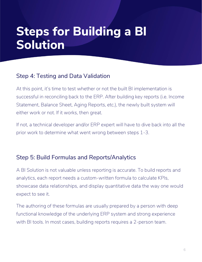#### Step 4: Testing and Data Validation

At this point, it's time to test whether or not the built BI implementation is successful in reconciling back to the ERP. After building key reports (i.e. Income Statement, Balance Sheet, Aging Reports, etc.), the newly built system will either work or not. If it works, then great.

If not, a technical developer and/or ERP expert will have to dive back into all the prior work to determine what went wrong between steps 1-3.

#### Step 5: Build Formulas and Reports/Analytics

A BI Solution is not valuable unless reporting is accurate. To build reports and analytics, each report needs a custom-written formula to calculate KPIs, showcase data relationships, and display quantitative data the way one would expect to see it.

The authoring of these formulas are usually prepared by a person with deep functional knowledge of the underlying ERP system and strong experience with BI tools. In most cases, building reports requires a 2-person team.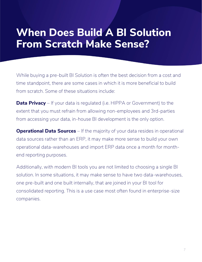### **When Does Build A BI Solution From Scratch Make Sense?**

While buying a pre-built BI Solution is often the best decision from a cost and time standpoint, there are some cases in which it is more beneficial to build from scratch. Some of these situations include:

**Data Privacy** – If your data is regulated (i.e. HIPPA or Government) to the extent that you must refrain from allowing non-employees and 3rd-parties from accessing your data, in-house BI development is the only option.

**Operational Data Sources** – If the majority of your data resides in operational data sources rather than an ERP, it may make more sense to build your own operational data-warehouses and import ERP data once a month for monthend reporting purposes.

Additionally, with modern BI tools you are not limited to choosing a single BI solution. In some situations, it may make sense to have two data-warehouses, one pre-built and one built internally, that are joined in your BI tool for consolidated reporting. This is a use case most often found in enterprise-size companies.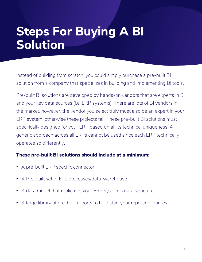### **Steps For Buying A BI Solution**

Instead of building from scratch, you could simply purchase a pre-built BI solution from a company that specializes in building and implementing BI tools.

Pre-built BI solutions are developed by hands-on vendors that are experts in BI and your key data sources (i.e. ERP systems). There are lots of BI vendors in the market, however, the vendor you select truly must also be an expert in your ERP system, otherwise these projects fail. These pre-built BI solutions must specifically designed for your ERP based on all its technical uniqueness. A generic approach across all ERPs cannot be used since each ERP technically operates so differently.

#### **These pre-built BI solutions should include at a minimum:**

- A pre-built ERP specific connector
- A Pre-built set of ETL processes/data-warehouse
- A data model that replicates your ERP system's data structure
- A large library of pre-built reports to help start your reporting journey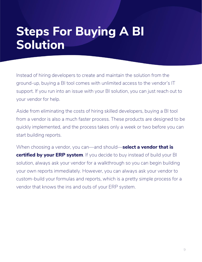### **Steps For Buying A BI Solution**

Instead of hiring developers to create and maintain the solution from the ground-up, buying a BI tool comes with unlimited access to the vendor's IT support. If you run into an issue with your BI solution, you can just reach out to your vendor for help.

Aside from eliminating the costs of hiring skilled developers, buying a BI tool from a vendor is also a much faster process. These products are designed to be quickly implemented, and the process takes only a week or two before you can start building reports.

When choosing a vendor, you can—and should—**select a vendor that is certified by your ERP system**. If you decide to buy instead of build your BI solution, always ask your vendor for a walkthrough so you can begin building your own reports immediately. However, you can always ask your vendor to custom-build your formulas and reports, which is a pretty simple process for a vendor that knows the ins and outs of your ERP system.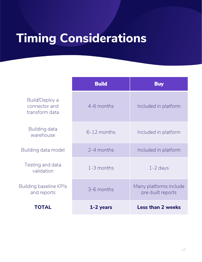## **Timing Considerations**

|                                                   | <b>Build</b>  | <b>Buy</b>                                  |
|---------------------------------------------------|---------------|---------------------------------------------|
| Build/Deploy a<br>connector and<br>transform data | 4-6 months    | Included in platform                        |
| Building data<br>warehouse                        | $6-12$ months | Included in platform                        |
| Building data model                               | 2-4 months    | Included in platform                        |
| Testing and data<br>validation                    | 1-3 months    | $1 - 2$ days                                |
| Building baseline KPIs<br>and reports             | 3-6 months    | Many platforms include<br>pre-built reports |
| TOTAL                                             | 1-2 years     | <b>Less than 2 weeks</b>                    |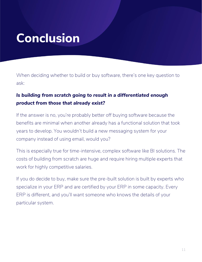### **Conclusion**

When deciding whether to build or buy software, there's one key question to ask:

#### *Is building from scratch going to result in a differentiated enough product from those that already exist?*

If the answer is no, you're probably better off buying software because the benefits are minimal when another already has a functional solution that took years to develop. You wouldn't build a new messaging system for your company instead of using email, would you?

This is especially true for time-intensive, complex software like BI solutions. The costs of building from scratch are huge and require hiring multiple experts that work for highly competitive salaries.

If you do decide to buy, make sure the pre-built solution is built by experts who specialize in your ERP and are certified by your ERP in some capacity. Every ERP is different, and you'll want someone who knows the details of your particular system.